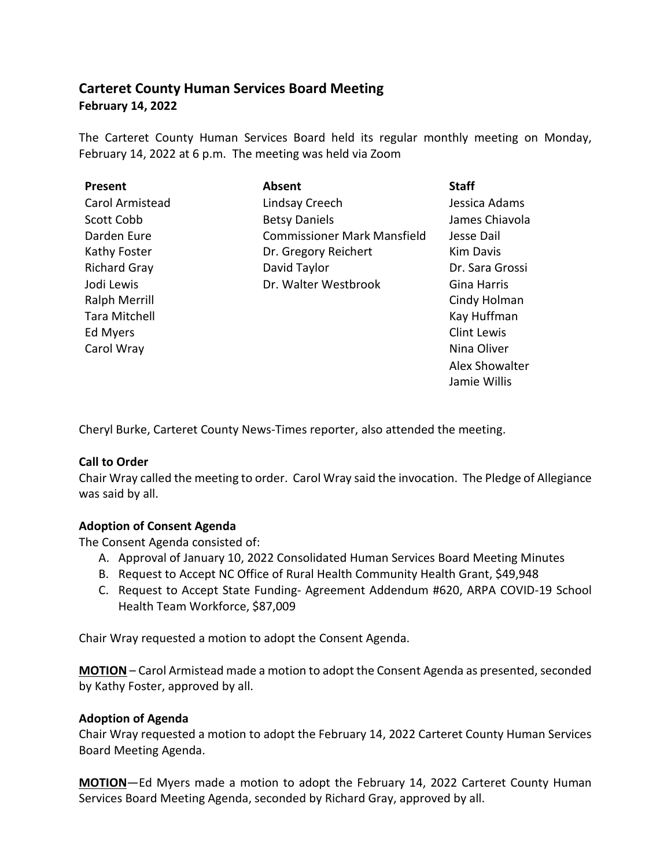# **Carteret County Human Services Board Meeting February 14, 2022**

The Carteret County Human Services Board held its regular monthly meeting on Monday, February 14, 2022 at 6 p.m. The meeting was held via Zoom

| <b>Present</b>       | <b>Absent</b>                      | <b>Staff</b>       |
|----------------------|------------------------------------|--------------------|
| Carol Armistead      | Lindsay Creech                     | Jessica Adams      |
| Scott Cobb           | <b>Betsy Daniels</b>               | James Chiavola     |
| Darden Eure          | <b>Commissioner Mark Mansfield</b> | Jesse Dail         |
| Kathy Foster         | Dr. Gregory Reichert               | <b>Kim Davis</b>   |
| <b>Richard Gray</b>  | David Taylor                       | Dr. Sara Grossi    |
| Jodi Lewis           | Dr. Walter Westbrook               | Gina Harris        |
| <b>Ralph Merrill</b> |                                    | Cindy Holman       |
| Tara Mitchell        |                                    | Kay Huffman        |
| Ed Myers             |                                    | <b>Clint Lewis</b> |
| Carol Wray           |                                    | Nina Oliver        |
|                      |                                    | Alex Showalter     |

Cheryl Burke, Carteret County News-Times reporter, also attended the meeting.

## **Call to Order**

Chair Wray called the meeting to order. Carol Wray said the invocation. The Pledge of Allegiance was said by all.

Jamie Willis

## **Adoption of Consent Agenda**

The Consent Agenda consisted of:

- A. Approval of January 10, 2022 Consolidated Human Services Board Meeting Minutes
- B. Request to Accept NC Office of Rural Health Community Health Grant, \$49,948
- C. Request to Accept State Funding- Agreement Addendum #620, ARPA COVID-19 School Health Team Workforce, \$87,009

Chair Wray requested a motion to adopt the Consent Agenda.

**MOTION** – Carol Armistead made a motion to adopt the Consent Agenda as presented, seconded by Kathy Foster, approved by all.

## **Adoption of Agenda**

Chair Wray requested a motion to adopt the February 14, 2022 Carteret County Human Services Board Meeting Agenda.

**MOTION**—Ed Myers made a motion to adopt the February 14, 2022 Carteret County Human Services Board Meeting Agenda, seconded by Richard Gray, approved by all.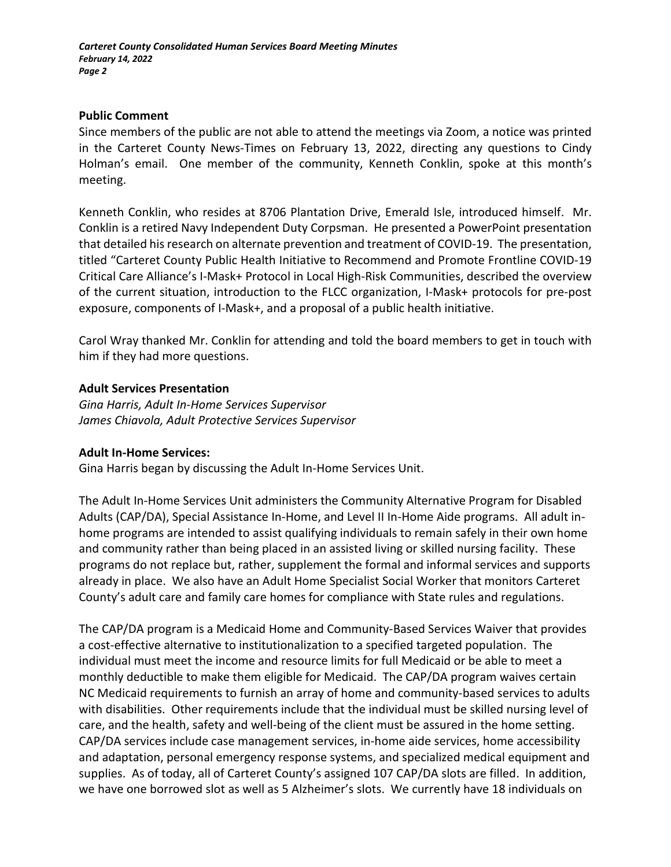## **Public Comment**

Since members of the public are not able to attend the meetings via Zoom, a notice was printed in the Carteret County News-Times on February 13, 2022, directing any questions to Cindy Holman's email. One member of the community, Kenneth Conklin, spoke at this month's meeting.

Kenneth Conklin, who resides at 8706 Plantation Drive, Emerald Isle, introduced himself. Mr. Conklin is a retired Navy Independent Duty Corpsman. He presented a PowerPoint presentation that detailed his research on alternate prevention and treatment of COVID-19. The presentation, titled "Carteret County Public Health Initiative to Recommend and Promote Frontline COVID-19 Critical Care Alliance's I-Mask+ Protocol in Local High-Risk Communities, described the overview of the current situation, introduction to the FLCC organization, I-Mask+ protocols for pre-post exposure, components of I-Mask+, and a proposal of a public health initiative.

Carol Wray thanked Mr. Conklin for attending and told the board members to get in touch with him if they had more questions.

## **Adult Services Presentation**

*Gina Harris, Adult In-Home Services Supervisor James Chiavola, Adult Protective Services Supervisor*

## **Adult In-Home Services:**

Gina Harris began by discussing the Adult In-Home Services Unit.

The Adult In-Home Services Unit administers the Community Alternative Program for Disabled Adults (CAP/DA), Special Assistance In-Home, and Level II In-Home Aide programs. All adult inhome programs are intended to assist qualifying individuals to remain safely in their own home and community rather than being placed in an assisted living or skilled nursing facility. These programs do not replace but, rather, supplement the formal and informal services and supports already in place. We also have an Adult Home Specialist Social Worker that monitors Carteret County's adult care and family care homes for compliance with State rules and regulations.

The CAP/DA program is a Medicaid Home and Community-Based Services Waiver that provides a cost-effective alternative to institutionalization to a specified targeted population. The individual must meet the income and resource limits for full Medicaid or be able to meet a monthly deductible to make them eligible for Medicaid. The CAP/DA program waives certain NC Medicaid requirements to furnish an array of home and community-based services to adults with disabilities. Other requirements include that the individual must be skilled nursing level of care, and the health, safety and well-being of the client must be assured in the home setting. CAP/DA services include case management services, in-home aide services, home accessibility and adaptation, personal emergency response systems, and specialized medical equipment and supplies. As of today, all of Carteret County's assigned 107 CAP/DA slots are filled. In addition, we have one borrowed slot as well as 5 Alzheimer's slots. We currently have 18 individuals on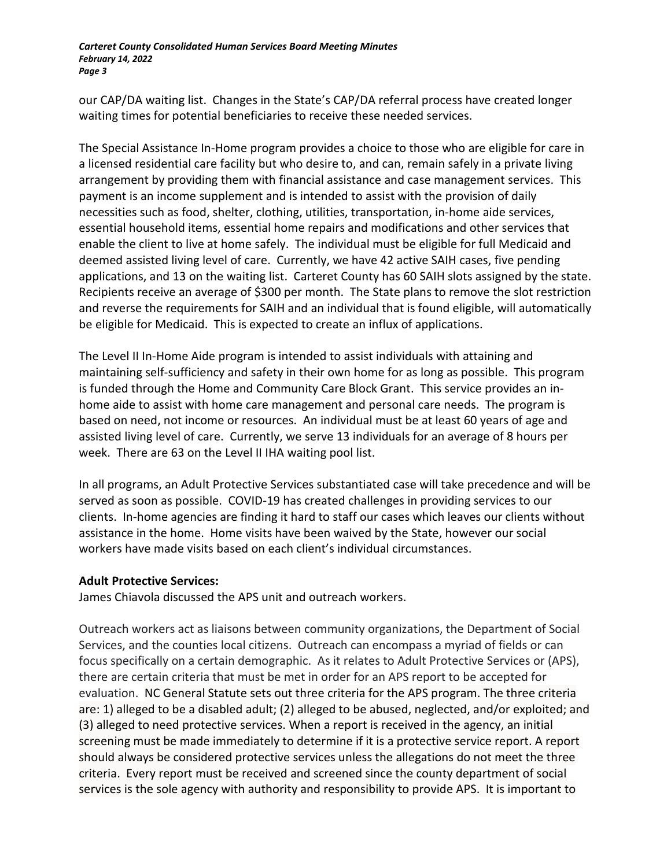our CAP/DA waiting list. Changes in the State's CAP/DA referral process have created longer waiting times for potential beneficiaries to receive these needed services.

The Special Assistance In-Home program provides a choice to those who are eligible for care in a licensed residential care facility but who desire to, and can, remain safely in a private living arrangement by providing them with financial assistance and case management services. This payment is an income supplement and is intended to assist with the provision of daily necessities such as food, shelter, clothing, utilities, transportation, in-home aide services, essential household items, essential home repairs and modifications and other services that enable the client to live at home safely. The individual must be eligible for full Medicaid and deemed assisted living level of care. Currently, we have 42 active SAIH cases, five pending applications, and 13 on the waiting list. Carteret County has 60 SAIH slots assigned by the state. Recipients receive an average of \$300 per month. The State plans to remove the slot restriction and reverse the requirements for SAIH and an individual that is found eligible, will automatically be eligible for Medicaid. This is expected to create an influx of applications.

The Level II In-Home Aide program is intended to assist individuals with attaining and maintaining self-sufficiency and safety in their own home for as long as possible. This program is funded through the Home and Community Care Block Grant. This service provides an inhome aide to assist with home care management and personal care needs. The program is based on need, not income or resources. An individual must be at least 60 years of age and assisted living level of care. Currently, we serve 13 individuals for an average of 8 hours per week. There are 63 on the Level II IHA waiting pool list.

In all programs, an Adult Protective Services substantiated case will take precedence and will be served as soon as possible. COVID-19 has created challenges in providing services to our clients. In-home agencies are finding it hard to staff our cases which leaves our clients without assistance in the home. Home visits have been waived by the State, however our social workers have made visits based on each client's individual circumstances.

## **Adult Protective Services:**

James Chiavola discussed the APS unit and outreach workers.

Outreach workers act as liaisons between community organizations, the Department of Social Services, and the counties local citizens. Outreach can encompass a myriad of fields or can focus specifically on a certain demographic. As it relates to Adult Protective Services or (APS), there are certain criteria that must be met in order for an APS report to be accepted for evaluation. NC General Statute sets out three criteria for the APS program. The three criteria are: 1) alleged to be a disabled adult; (2) alleged to be abused, neglected, and/or exploited; and (3) alleged to need protective services. When a report is received in the agency, an initial screening must be made immediately to determine if it is a protective service report. A report should always be considered protective services unless the allegations do not meet the three criteria. Every report must be received and screened since the county department of social services is the sole agency with authority and responsibility to provide APS. It is important to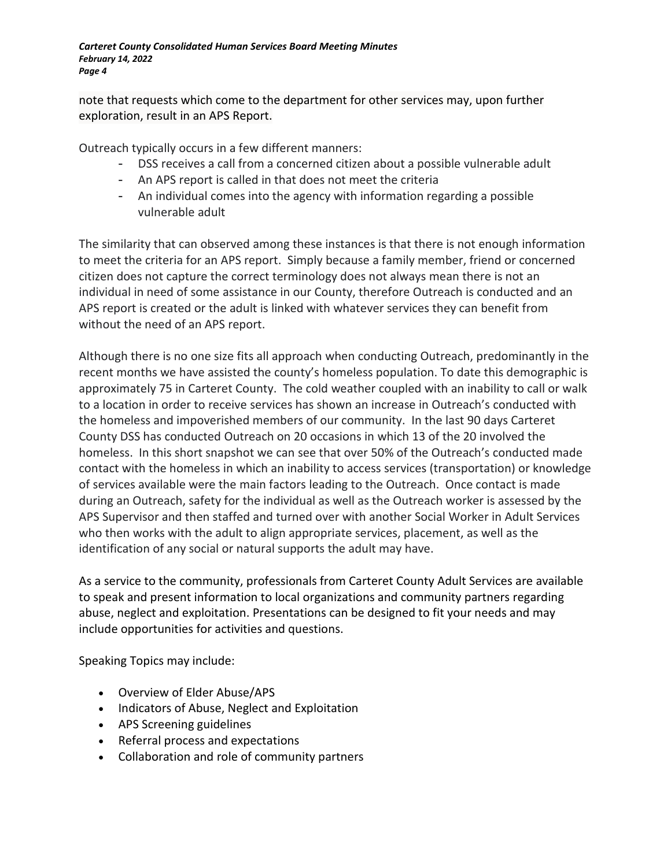note that requests which come to the department for other services may, upon further exploration, result in an APS Report.

Outreach typically occurs in a few different manners:

- DSS receives a call from a concerned citizen about a possible vulnerable adult
- An APS report is called in that does not meet the criteria
- An individual comes into the agency with information regarding a possible vulnerable adult

The similarity that can observed among these instances is that there is not enough information to meet the criteria for an APS report. Simply because a family member, friend or concerned citizen does not capture the correct terminology does not always mean there is not an individual in need of some assistance in our County, therefore Outreach is conducted and an APS report is created or the adult is linked with whatever services they can benefit from without the need of an APS report.

Although there is no one size fits all approach when conducting Outreach, predominantly in the recent months we have assisted the county's homeless population. To date this demographic is approximately 75 in Carteret County. The cold weather coupled with an inability to call or walk to a location in order to receive services has shown an increase in Outreach's conducted with the homeless and impoverished members of our community. In the last 90 days Carteret County DSS has conducted Outreach on 20 occasions in which 13 of the 20 involved the homeless. In this short snapshot we can see that over 50% of the Outreach's conducted made contact with the homeless in which an inability to access services (transportation) or knowledge of services available were the main factors leading to the Outreach. Once contact is made during an Outreach, safety for the individual as well as the Outreach worker is assessed by the APS Supervisor and then staffed and turned over with another Social Worker in Adult Services who then works with the adult to align appropriate services, placement, as well as the identification of any social or natural supports the adult may have.

As a service to the community, professionals from Carteret County Adult Services are available to speak and present information to local organizations and community partners regarding abuse, neglect and exploitation. Presentations can be designed to fit your needs and may include opportunities for activities and questions.

Speaking Topics may include:

- Overview of Elder Abuse/APS
- Indicators of Abuse, Neglect and Exploitation
- APS Screening guidelines
- Referral process and expectations
- Collaboration and role of community partners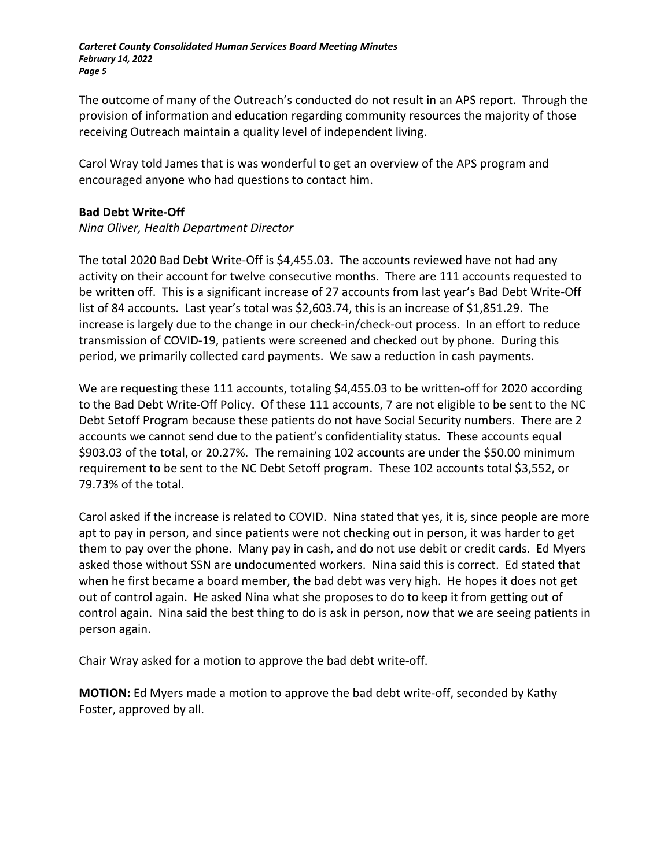The outcome of many of the Outreach's conducted do not result in an APS report. Through the provision of information and education regarding community resources the majority of those receiving Outreach maintain a quality level of independent living.

Carol Wray told James that is was wonderful to get an overview of the APS program and encouraged anyone who had questions to contact him.

## **Bad Debt Write-Off**

## *Nina Oliver, Health Department Director*

The total 2020 Bad Debt Write-Off is \$4,455.03. The accounts reviewed have not had any activity on their account for twelve consecutive months. There are 111 accounts requested to be written off. This is a significant increase of 27 accounts from last year's Bad Debt Write-Off list of 84 accounts. Last year's total was \$2,603.74, this is an increase of \$1,851.29. The increase is largely due to the change in our check-in/check-out process. In an effort to reduce transmission of COVID-19, patients were screened and checked out by phone. During this period, we primarily collected card payments. We saw a reduction in cash payments.

We are requesting these 111 accounts, totaling \$4,455.03 to be written-off for 2020 according to the Bad Debt Write-Off Policy. Of these 111 accounts, 7 are not eligible to be sent to the NC Debt Setoff Program because these patients do not have Social Security numbers. There are 2 accounts we cannot send due to the patient's confidentiality status. These accounts equal \$903.03 of the total, or 20.27%. The remaining 102 accounts are under the \$50.00 minimum requirement to be sent to the NC Debt Setoff program. These 102 accounts total \$3,552, or 79.73% of the total.

Carol asked if the increase is related to COVID. Nina stated that yes, it is, since people are more apt to pay in person, and since patients were not checking out in person, it was harder to get them to pay over the phone. Many pay in cash, and do not use debit or credit cards. Ed Myers asked those without SSN are undocumented workers. Nina said this is correct. Ed stated that when he first became a board member, the bad debt was very high. He hopes it does not get out of control again. He asked Nina what she proposes to do to keep it from getting out of control again. Nina said the best thing to do is ask in person, now that we are seeing patients in person again.

Chair Wray asked for a motion to approve the bad debt write-off.

**MOTION:** Ed Myers made a motion to approve the bad debt write-off, seconded by Kathy Foster, approved by all.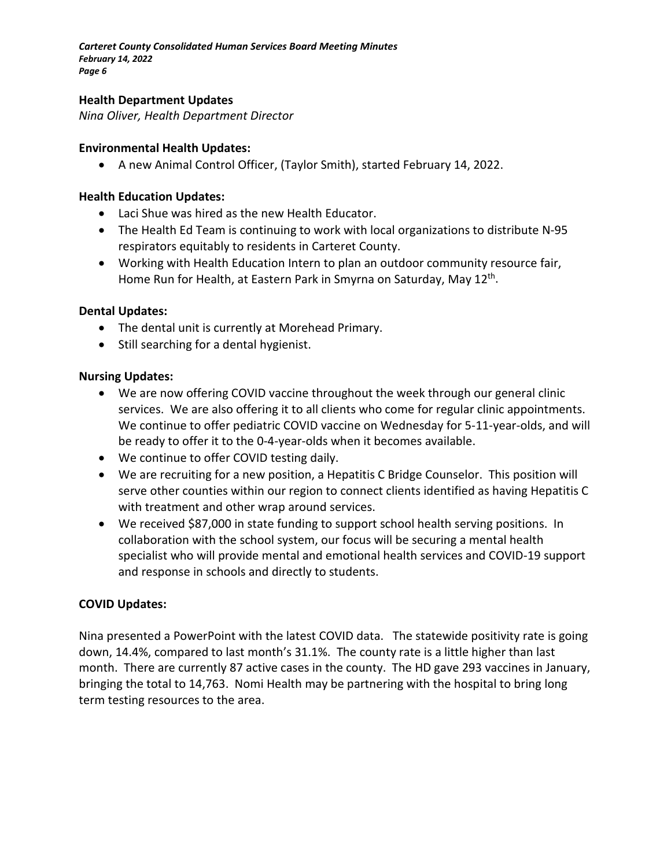#### **Health Department Updates**

*Nina Oliver, Health Department Director*

#### **Environmental Health Updates:**

• A new Animal Control Officer, (Taylor Smith), started February 14, 2022.

#### **Health Education Updates:**

- Laci Shue was hired as the new Health Educator.
- The Health Ed Team is continuing to work with local organizations to distribute N-95 respirators equitably to residents in Carteret County.
- Working with Health Education Intern to plan an outdoor community resource fair, Home Run for Health, at Eastern Park in Smyrna on Saturday, May 12<sup>th</sup>.

#### **Dental Updates:**

- The dental unit is currently at Morehead Primary.
- Still searching for a dental hygienist.

#### **Nursing Updates:**

- We are now offering COVID vaccine throughout the week through our general clinic services. We are also offering it to all clients who come for regular clinic appointments. We continue to offer pediatric COVID vaccine on Wednesday for 5-11-year-olds, and will be ready to offer it to the 0-4-year-olds when it becomes available.
- We continue to offer COVID testing daily.
- We are recruiting for a new position, a Hepatitis C Bridge Counselor. This position will serve other counties within our region to connect clients identified as having Hepatitis C with treatment and other wrap around services.
- We received \$87,000 in state funding to support school health serving positions. In collaboration with the school system, our focus will be securing a mental health specialist who will provide mental and emotional health services and COVID-19 support and response in schools and directly to students.

## **COVID Updates:**

Nina presented a PowerPoint with the latest COVID data. The statewide positivity rate is going down, 14.4%, compared to last month's 31.1%. The county rate is a little higher than last month. There are currently 87 active cases in the county. The HD gave 293 vaccines in January, bringing the total to 14,763. Nomi Health may be partnering with the hospital to bring long term testing resources to the area.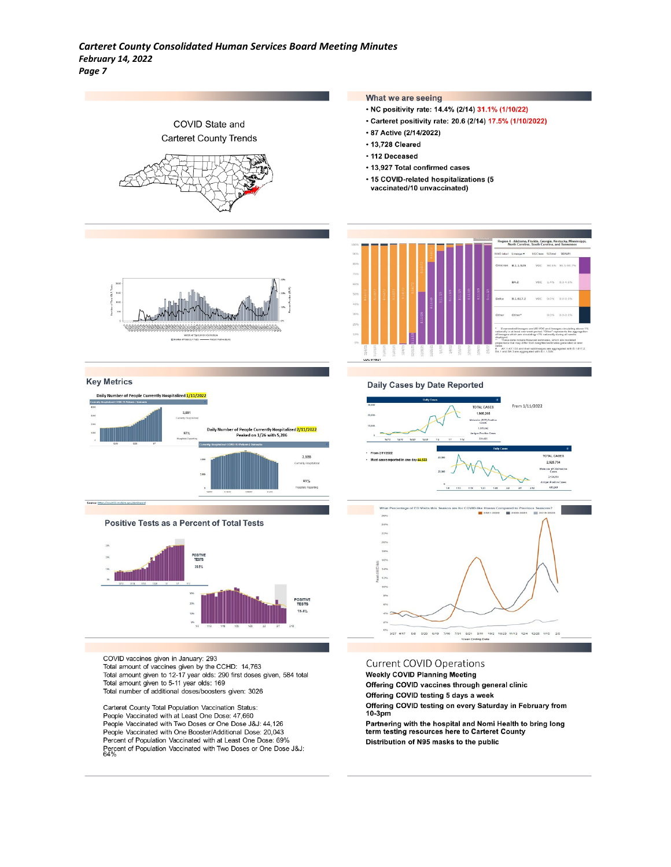

Offering COVID testing 5 days a week

Distribution of N95 masks to the public

 $10-3<sub>pm</sub>$ 

Offering COVID testing on every Saturday in February from

Partnering with the hospital and Nomi Health to bring long<br>term testing resources here to Carteret County

Total number of additional doses/boosters given: 3026

Carteret County Total Population Vaccination Status: People Vaccinated with at Least One Dose: 47,660 People Vaccinated with at Least Orie Dose. 47,000<br>People Vaccinated with Two Doses or One Dose J&J: 44,126<br>People Vaccinated with One Booster/Additional Dose: 20,043 Percent of Population Vaccinated with at Least One Dose: 69% Percent of Population Vaccinated with at Least Orie Dose, 69%<br>Percent of Population Vaccinated with Two Doses or One Dose J&J:<br>64%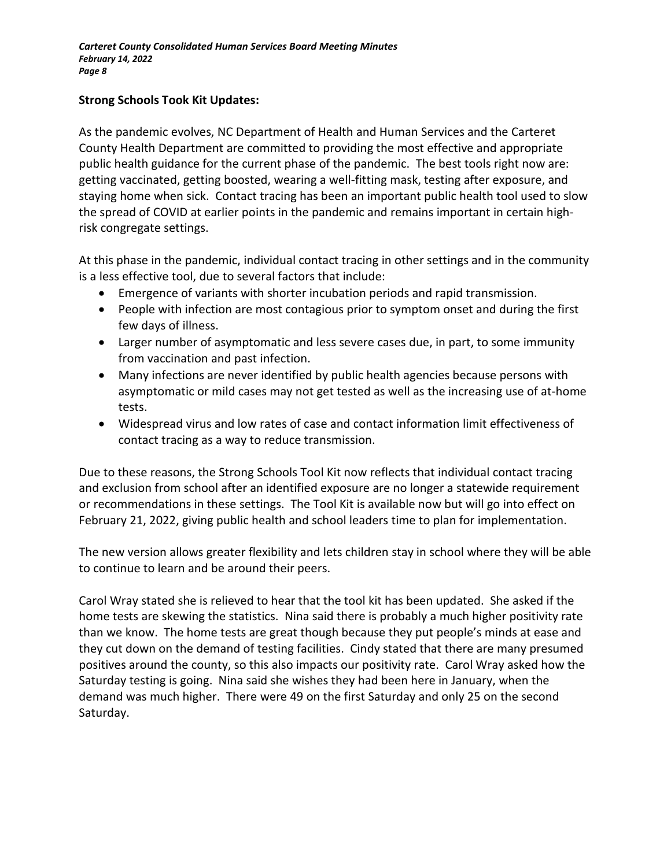## **Strong Schools Took Kit Updates:**

As the pandemic evolves, NC Department of Health and Human Services and the Carteret County Health Department are committed to providing the most effective and appropriate public health guidance for the current phase of the pandemic. The best tools right now are: getting vaccinated, getting boosted, wearing a well-fitting mask, testing after exposure, and staying home when sick. Contact tracing has been an important public health tool used to slow the spread of COVID at earlier points in the pandemic and remains important in certain highrisk congregate settings.

At this phase in the pandemic, individual contact tracing in other settings and in the community is a less effective tool, due to several factors that include:

- Emergence of variants with shorter incubation periods and rapid transmission.
- People with infection are most contagious prior to symptom onset and during the first few days of illness.
- Larger number of asymptomatic and less severe cases due, in part, to some immunity from vaccination and past infection.
- Many infections are never identified by public health agencies because persons with asymptomatic or mild cases may not get tested as well as the increasing use of at-home tests.
- Widespread virus and low rates of case and contact information limit effectiveness of contact tracing as a way to reduce transmission.

Due to these reasons, the Strong Schools Tool Kit now reflects that individual contact tracing and exclusion from school after an identified exposure are no longer a statewide requirement or recommendations in these settings. The Tool Kit is available now but will go into effect on February 21, 2022, giving public health and school leaders time to plan for implementation.

The new version allows greater flexibility and lets children stay in school where they will be able to continue to learn and be around their peers.

Carol Wray stated she is relieved to hear that the tool kit has been updated. She asked if the home tests are skewing the statistics. Nina said there is probably a much higher positivity rate than we know. The home tests are great though because they put people's minds at ease and they cut down on the demand of testing facilities. Cindy stated that there are many presumed positives around the county, so this also impacts our positivity rate. Carol Wray asked how the Saturday testing is going. Nina said she wishes they had been here in January, when the demand was much higher. There were 49 on the first Saturday and only 25 on the second Saturday.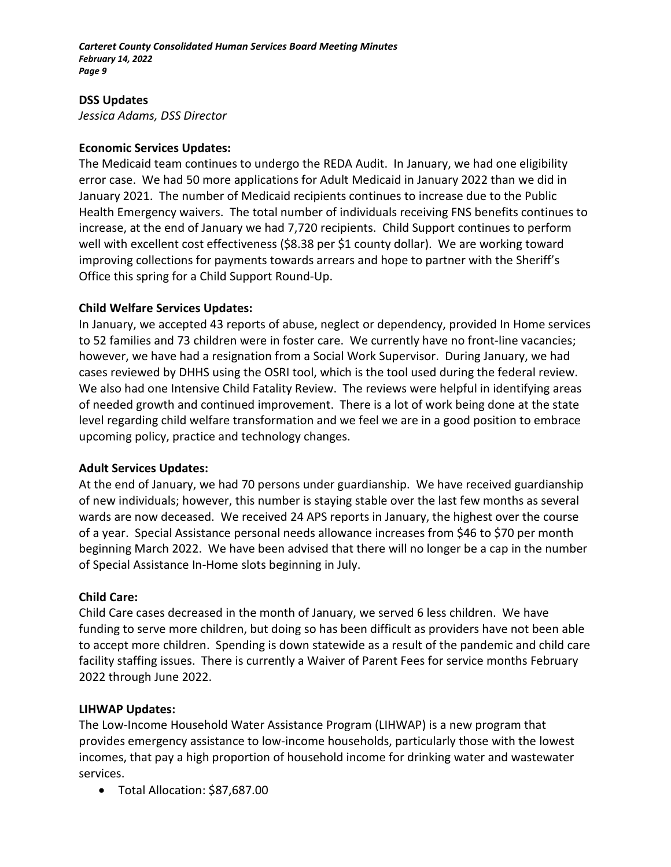#### **DSS Updates**

*Jessica Adams, DSS Director*

#### **Economic Services Updates:**

The Medicaid team continues to undergo the REDA Audit. In January, we had one eligibility error case. We had 50 more applications for Adult Medicaid in January 2022 than we did in January 2021. The number of Medicaid recipients continues to increase due to the Public Health Emergency waivers. The total number of individuals receiving FNS benefits continues to increase, at the end of January we had 7,720 recipients. Child Support continues to perform well with excellent cost effectiveness (\$8.38 per \$1 county dollar). We are working toward improving collections for payments towards arrears and hope to partner with the Sheriff's Office this spring for a Child Support Round-Up.

#### **Child Welfare Services Updates:**

In January, we accepted 43 reports of abuse, neglect or dependency, provided In Home services to 52 families and 73 children were in foster care. We currently have no front-line vacancies; however, we have had a resignation from a Social Work Supervisor. During January, we had cases reviewed by DHHS using the OSRI tool, which is the tool used during the federal review. We also had one Intensive Child Fatality Review. The reviews were helpful in identifying areas of needed growth and continued improvement. There is a lot of work being done at the state level regarding child welfare transformation and we feel we are in a good position to embrace upcoming policy, practice and technology changes.

## **Adult Services Updates:**

At the end of January, we had 70 persons under guardianship. We have received guardianship of new individuals; however, this number is staying stable over the last few months as several wards are now deceased. We received 24 APS reports in January, the highest over the course of a year. Special Assistance personal needs allowance increases from \$46 to \$70 per month beginning March 2022. We have been advised that there will no longer be a cap in the number of Special Assistance In-Home slots beginning in July.

## **Child Care:**

Child Care cases decreased in the month of January, we served 6 less children. We have funding to serve more children, but doing so has been difficult as providers have not been able to accept more children. Spending is down statewide as a result of the pandemic and child care facility staffing issues. There is currently a Waiver of Parent Fees for service months February 2022 through June 2022.

#### **LIHWAP Updates:**

The Low-Income Household Water Assistance Program (LIHWAP) is a new program that provides emergency assistance to low-income households, particularly those with the lowest incomes, that pay a high proportion of household income for drinking water and wastewater services.

• Total Allocation: \$87,687.00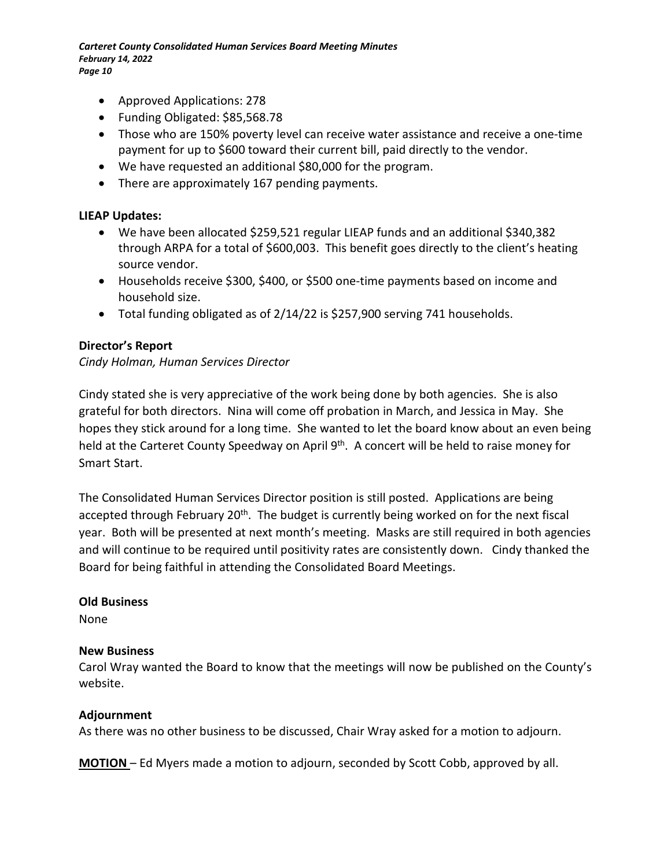- Approved Applications: 278
- Funding Obligated: \$85,568.78
- Those who are 150% poverty level can receive water assistance and receive a one-time payment for up to \$600 toward their current bill, paid directly to the vendor.
- We have requested an additional \$80,000 for the program.
- There are approximately 167 pending payments.

#### **LIEAP Updates:**

- We have been allocated \$259,521 regular LIEAP funds and an additional \$340,382 through ARPA for a total of \$600,003. This benefit goes directly to the client's heating source vendor.
- Households receive \$300, \$400, or \$500 one-time payments based on income and household size.
- Total funding obligated as of 2/14/22 is \$257,900 serving 741 households.

## **Director's Report**

## *Cindy Holman, Human Services Director*

Cindy stated she is very appreciative of the work being done by both agencies. She is also grateful for both directors. Nina will come off probation in March, and Jessica in May. She hopes they stick around for a long time. She wanted to let the board know about an even being held at the Carteret County Speedway on April 9<sup>th</sup>. A concert will be held to raise money for Smart Start.

The Consolidated Human Services Director position is still posted. Applications are being accepted through February 20<sup>th</sup>. The budget is currently being worked on for the next fiscal year. Both will be presented at next month's meeting. Masks are still required in both agencies and will continue to be required until positivity rates are consistently down. Cindy thanked the Board for being faithful in attending the Consolidated Board Meetings.

#### **Old Business**

None

#### **New Business**

Carol Wray wanted the Board to know that the meetings will now be published on the County's website.

#### **Adjournment**

As there was no other business to be discussed, Chair Wray asked for a motion to adjourn.

**MOTION** – Ed Myers made a motion to adjourn, seconded by Scott Cobb, approved by all.